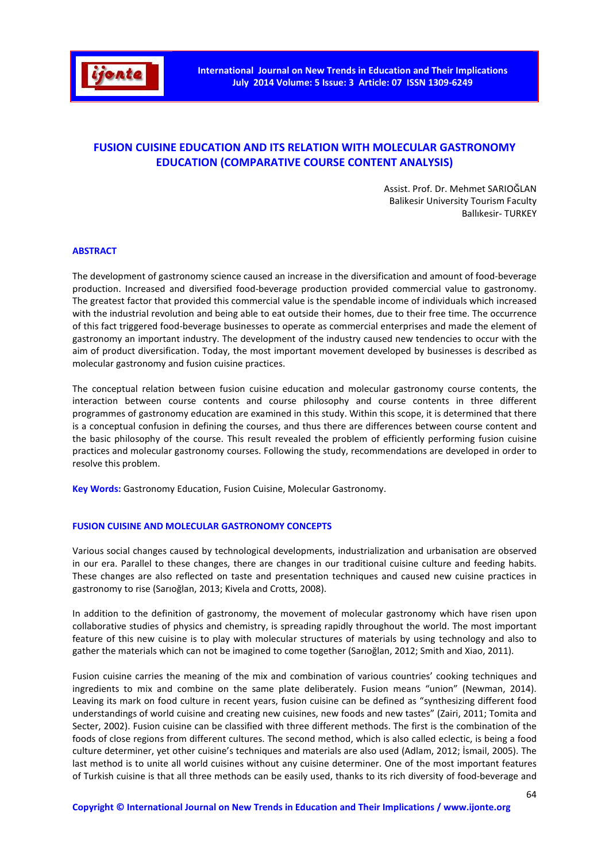

# **FUSION CUISINE EDUCATION AND ITS RELATION WITH MOLECULAR GASTRONOMY EDUCATION (COMPARATIVE COURSE CONTENT ANALYSIS)**

Assist. Prof. Dr. Mehmet SARIOĞLAN Balikesir University Tourism Faculty Ballıkesir- TURKEY

#### **ABSTRACT**

The development of gastronomy science caused an increase in the diversification and amount of food-beverage production. Increased and diversified food-beverage production provided commercial value to gastronomy. The greatest factor that provided this commercial value is the spendable income of individuals which increased with the industrial revolution and being able to eat outside their homes, due to their free time. The occurrence of this fact triggered food-beverage businesses to operate as commercial enterprises and made the element of gastronomy an important industry. The development of the industry caused new tendencies to occur with the aim of product diversification. Today, the most important movement developed by businesses is described as molecular gastronomy and fusion cuisine practices.

The conceptual relation between fusion cuisine education and molecular gastronomy course contents, the interaction between course contents and course philosophy and course contents in three different programmes of gastronomy education are examined in this study. Within this scope, it is determined that there is a conceptual confusion in defining the courses, and thus there are differences between course content and the basic philosophy of the course. This result revealed the problem of efficiently performing fusion cuisine practices and molecular gastronomy courses. Following the study, recommendations are developed in order to resolve this problem.

**Key Words:** Gastronomy Education, Fusion Cuisine, Molecular Gastronomy.

#### **FUSION CUISINE AND MOLECULAR GASTRONOMY CONCEPTS**

Various social changes caused by technological developments, industrialization and urbanisation are observed in our era. Parallel to these changes, there are changes in our traditional cuisine culture and feeding habits. These changes are also reflected on taste and presentation techniques and caused new cuisine practices in gastronomy to rise (Sarıoğlan, 2013; Kivela and Crotts, 2008).

In addition to the definition of gastronomy, the movement of molecular gastronomy which have risen upon collaborative studies of physics and chemistry, is spreading rapidly throughout the world. The most important feature of this new cuisine is to play with molecular structures of materials by using technology and also to gather the materials which can not be imagined to come together (Sarıoğlan, 2012; Smith and Xiao, 2011).

Fusion cuisine carries the meaning of the mix and combination of various countries' cooking techniques and ingredients to mix and combine on the same plate deliberately. Fusion means "union" (Newman, 2014). Leaving its mark on food culture in recent years, fusion cuisine can be defined as "synthesizing different food understandings of world cuisine and creating new cuisines, new foods and new tastes" (Zairi, 2011; Tomita and Secter, 2002). Fusion cuisine can be classified with three different methods. The first is the combination of the foods of close regions from different cultures. The second method, which is also called eclectic, is being a food culture determiner, yet other cuisine's techniques and materials are also used (Adlam, 2012; İsmail, 2005). The last method is to unite all world cuisines without any cuisine determiner. One of the most important features of Turkish cuisine is that all three methods can be easily used, thanks to its rich diversity of food-beverage and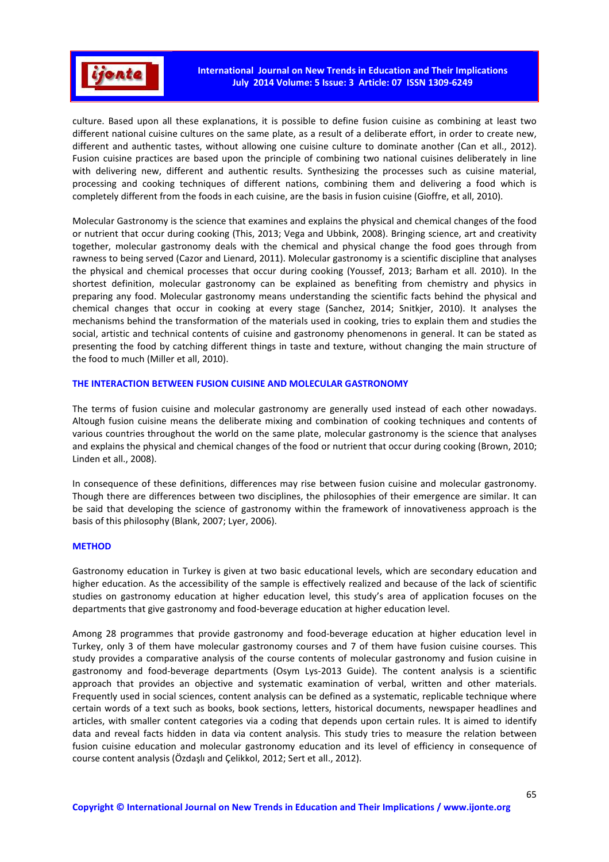

culture. Based upon all these explanations, it is possible to define fusion cuisine as combining at least two different national cuisine cultures on the same plate, as a result of a deliberate effort, in order to create new, different and authentic tastes, without allowing one cuisine culture to dominate another (Can et all., 2012). Fusion cuisine practices are based upon the principle of combining two national cuisines deliberately in line with delivering new, different and authentic results. Synthesizing the processes such as cuisine material, processing and cooking techniques of different nations, combining them and delivering a food which is completely different from the foods in each cuisine, are the basis in fusion cuisine (Gioffre, et all, 2010).

Molecular Gastronomy is the science that examines and explains the physical and chemical changes of the food or nutrient that occur during cooking (This, 2013; Vega and Ubbink, 2008). Bringing science, art and creativity together, molecular gastronomy deals with the chemical and physical change the food goes through from rawness to being served (Cazor and Lienard, 2011). Molecular gastronomy is a scientific discipline that analyses the physical and chemical processes that occur during cooking (Youssef, 2013; Barham et all. 2010). In the shortest definition, molecular gastronomy can be explained as benefiting from chemistry and physics in preparing any food. Molecular gastronomy means understanding the scientific facts behind the physical and chemical changes that occur in cooking at every stage (Sanchez, 2014; Snitkjer, 2010). It analyses the mechanisms behind the transformation of the materials used in cooking, tries to explain them and studies the social, artistic and technical contents of cuisine and gastronomy phenomenons in general. It can be stated as presenting the food by catching different things in taste and texture, without changing the main structure of the food to much (Miller et all, 2010).

# **THE INTERACTION BETWEEN FUSION CUISINE AND MOLECULAR GASTRONOMY**

The terms of fusion cuisine and molecular gastronomy are generally used instead of each other nowadays. Altough fusion cuisine means the deliberate mixing and combination of cooking techniques and contents of various countries throughout the world on the same plate, molecular gastronomy is the science that analyses and explains the physical and chemical changes of the food or nutrient that occur during cooking (Brown, 2010; Linden et all., 2008).

In consequence of these definitions, differences may rise between fusion cuisine and molecular gastronomy. Though there are differences between two disciplines, the philosophies of their emergence are similar. It can be said that developing the science of gastronomy within the framework of innovativeness approach is the basis of this philosophy (Blank, 2007; Lyer, 2006).

# **METHOD**

Gastronomy education in Turkey is given at two basic educational levels, which are secondary education and higher education. As the accessibility of the sample is effectively realized and because of the lack of scientific studies on gastronomy education at higher education level, this study's area of application focuses on the departments that give gastronomy and food-beverage education at higher education level.

Among 28 programmes that provide gastronomy and food-beverage education at higher education level in Turkey, only 3 of them have molecular gastronomy courses and 7 of them have fusion cuisine courses. This study provides a comparative analysis of the course contents of molecular gastronomy and fusion cuisine in gastronomy and food-beverage departments (Osym Lys-2013 Guide). The content analysis is a scientific approach that provides an objective and systematic examination of verbal, written and other materials. Frequently used in social sciences, content analysis can be defined as a systematic, replicable technique where certain words of a text such as books, book sections, letters, historical documents, newspaper headlines and articles, with smaller content categories via a coding that depends upon certain rules. It is aimed to identify data and reveal facts hidden in data via content analysis. This study tries to measure the relation between fusion cuisine education and molecular gastronomy education and its level of efficiency in consequence of course content analysis (Özdaşlı and Çelikkol, 2012; Sert et all., 2012).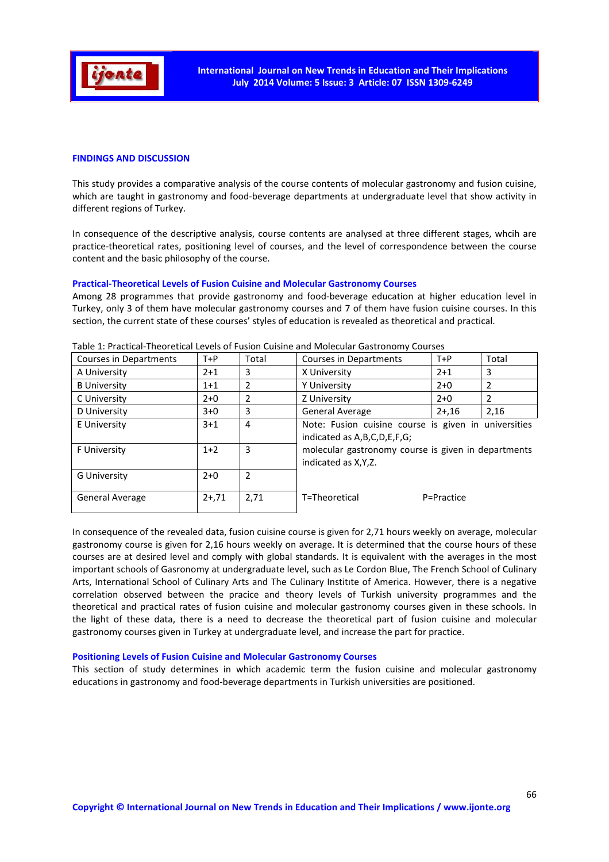

# **FINDINGS AND DISCUSSION**

This study provides a comparative analysis of the course contents of molecular gastronomy and fusion cuisine, which are taught in gastronomy and food-beverage departments at undergraduate level that show activity in different regions of Turkey.

In consequence of the descriptive analysis, course contents are analysed at three different stages, whcih are practice-theoretical rates, positioning level of courses, and the level of correspondence between the course content and the basic philosophy of the course.

#### **Practical-Theoretical Levels of Fusion Cuisine and Molecular Gastronomy Courses**

Among 28 programmes that provide gastronomy and food-beverage education at higher education level in Turkey, only 3 of them have molecular gastronomy courses and 7 of them have fusion cuisine courses. In this section, the current state of these courses' styles of education is revealed as theoretical and practical.

| Courses in Departments | $T+P$   | Total          | Courses in Departments                                                                                                                                              | $T+P$      | Total |
|------------------------|---------|----------------|---------------------------------------------------------------------------------------------------------------------------------------------------------------------|------------|-------|
| A University           | $2 + 1$ | 3              | X University                                                                                                                                                        | $2 + 1$    | 3     |
| <b>B</b> University    | $1+1$   | 2              | Y University                                                                                                                                                        | $2+0$      | 2     |
| C University           | $2+0$   | 2              | Z University                                                                                                                                                        | $2+0$      | 2     |
| D University           | $3+0$   | 3              | General Average                                                                                                                                                     | $2 + 16$   | 2,16  |
| E University           | $3 + 1$ | $\overline{4}$ | Note: Fusion cuisine course is given in universities<br>indicated as A,B,C,D,E,F,G;<br>molecular gastronomy course is given in departments<br>indicated as X, Y, Z. |            |       |
| F University           | $1+2$   | 3              |                                                                                                                                                                     |            |       |
| <b>G University</b>    | $2+0$   | $\overline{2}$ |                                                                                                                                                                     |            |       |
| General Average        | $2+,71$ | 2,71           | T=Theoretical                                                                                                                                                       | P=Practice |       |

Table 1: Practical-Theoretical Levels of Fusion Cuisine and Molecular Gastronomy Courses

In consequence of the revealed data, fusion cuisine course is given for 2,71 hours weekly on average, molecular gastronomy course is given for 2,16 hours weekly on average. It is determined that the course hours of these courses are at desired level and comply with global standards. It is equivalent with the averages in the most important schools of Gasronomy at undergraduate level, such as Le Cordon Blue, The French School of Culinary Arts, International School of Culinary Arts and The Culinary Institıte of America. However, there is a negative correlation observed between the pracice and theory levels of Turkish university programmes and the theoretical and practical rates of fusion cuisine and molecular gastronomy courses given in these schools. In the light of these data, there is a need to decrease the theoretical part of fusion cuisine and molecular gastronomy courses given in Turkey at undergraduate level, and increase the part for practice.

#### **Positioning Levels of Fusion Cuisine and Molecular Gastronomy Courses**

This section of study determines in which academic term the fusion cuisine and molecular gastronomy educations in gastronomy and food-beverage departments in Turkish universities are positioned.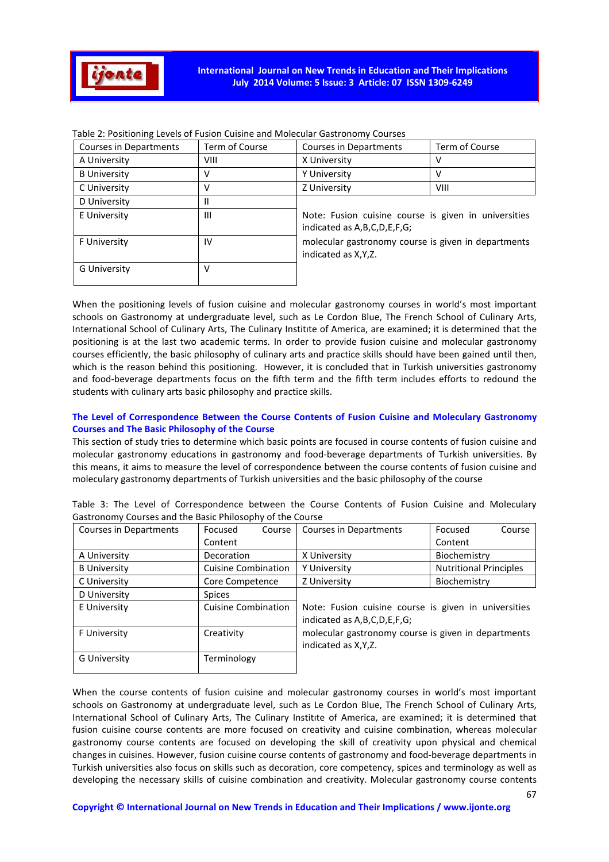

| Courses in Departments | Term of Course | Courses in Departments                                                                                                                                                  | Term of Course |  |
|------------------------|----------------|-------------------------------------------------------------------------------------------------------------------------------------------------------------------------|----------------|--|
| A University           | VIII           | X University                                                                                                                                                            |                |  |
| <b>B</b> University    | v              | Y University                                                                                                                                                            |                |  |
| C University           | v              | Z University                                                                                                                                                            | VIII           |  |
| D University           | Ш              |                                                                                                                                                                         |                |  |
| E University           | $\mathbf{III}$ | Note: Fusion cuisine course is given in universities<br>indicated as A, B, C, D, E, F, G;<br>molecular gastronomy course is given in departments<br>indicated as X.Y.Z. |                |  |
| F University           | IV             |                                                                                                                                                                         |                |  |
| <b>G University</b>    | v              |                                                                                                                                                                         |                |  |

| Table 2: Positioning Levels of Fusion Cuisine and Molecular Gastronomy Courses |  |  |
|--------------------------------------------------------------------------------|--|--|
|--------------------------------------------------------------------------------|--|--|

When the positioning levels of fusion cuisine and molecular gastronomy courses in world's most important schools on Gastronomy at undergraduate level, such as Le Cordon Blue, The French School of Culinary Arts, International School of Culinary Arts, The Culinary Institıte of America, are examined; it is determined that the positioning is at the last two academic terms. In order to provide fusion cuisine and molecular gastronomy courses efficiently, the basic philosophy of culinary arts and practice skills should have been gained until then, which is the reason behind this positioning. However, it is concluded that in Turkish universities gastronomy and food-beverage departments focus on the fifth term and the fifth term includes efforts to redound the students with culinary arts basic philosophy and practice skills.

# **The Level of Correspondence Between the Course Contents of Fusion Cuisine and Moleculary Gastronomy Courses and The Basic Philosophy of the Course**

This section of study tries to determine which basic points are focused in course contents of fusion cuisine and molecular gastronomy educations in gastronomy and food-beverage departments of Turkish universities. By this means, it aims to measure the level of correspondence between the course contents of fusion cuisine and moleculary gastronomy departments of Turkish universities and the basic philosophy of the course

| Courses in Departments | Focused<br>Course          | Courses in Departments                                                              | Focused<br>Course             |  |
|------------------------|----------------------------|-------------------------------------------------------------------------------------|-------------------------------|--|
|                        | Content                    |                                                                                     | Content                       |  |
| A University           | Decoration                 | X University                                                                        | Biochemistry                  |  |
| <b>B</b> University    | <b>Cuisine Combination</b> | Y University                                                                        | <b>Nutritional Principles</b> |  |
| C University           | Core Competence            | Z University                                                                        | Biochemistry                  |  |
| D University           | <b>Spices</b>              |                                                                                     |                               |  |
| E University           | <b>Cuisine Combination</b> | Note: Fusion cuisine course is given in universities<br>indicated as A,B,C,D,E,F,G; |                               |  |
| F University           | Creativity                 | molecular gastronomy course is given in departments<br>indicated as X, Y, Z.        |                               |  |
| <b>G University</b>    | Terminology                |                                                                                     |                               |  |

Table 3: The Level of Correspondence between the Course Contents of Fusion Cuisine and Moleculary Gastronomy Courses and the Basic Philosophy of the Course

When the course contents of fusion cuisine and molecular gastronomy courses in world's most important schools on Gastronomy at undergraduate level, such as Le Cordon Blue, The French School of Culinary Arts, International School of Culinary Arts, The Culinary Institıte of America, are examined; it is determined that fusion cuisine course contents are more focused on creativity and cuisine combination, whereas molecular gastronomy course contents are focused on developing the skill of creativity upon physical and chemical changes in cuisines. However, fusion cuisine course contents of gastronomy and food-beverage departments in Turkish universities also focus on skills such as decoration, core competency, spices and terminology as well as developing the necessary skills of cuisine combination and creativity. Molecular gastronomy course contents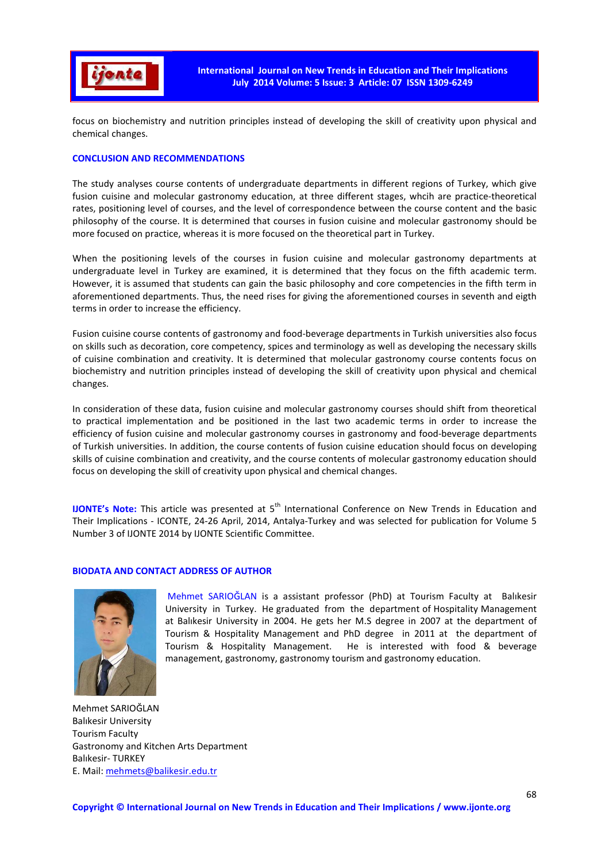

focus on biochemistry and nutrition principles instead of developing the skill of creativity upon physical and chemical changes.

# **CONCLUSION AND RECOMMENDATIONS**

The study analyses course contents of undergraduate departments in different regions of Turkey, which give fusion cuisine and molecular gastronomy education, at three different stages, whcih are practice-theoretical rates, positioning level of courses, and the level of correspondence between the course content and the basic philosophy of the course. It is determined that courses in fusion cuisine and molecular gastronomy should be more focused on practice, whereas it is more focused on the theoretical part in Turkey.

When the positioning levels of the courses in fusion cuisine and molecular gastronomy departments at undergraduate level in Turkey are examined, it is determined that they focus on the fifth academic term. However, it is assumed that students can gain the basic philosophy and core competencies in the fifth term in aforementioned departments. Thus, the need rises for giving the aforementioned courses in seventh and eigth terms in order to increase the efficiency.

Fusion cuisine course contents of gastronomy and food-beverage departments in Turkish universities also focus on skills such as decoration, core competency, spices and terminology as well as developing the necessary skills of cuisine combination and creativity. It is determined that molecular gastronomy course contents focus on biochemistry and nutrition principles instead of developing the skill of creativity upon physical and chemical changes.

In consideration of these data, fusion cuisine and molecular gastronomy courses should shift from theoretical to practical implementation and be positioned in the last two academic terms in order to increase the efficiency of fusion cuisine and molecular gastronomy courses in gastronomy and food-beverage departments of Turkish universities. In addition, the course contents of fusion cuisine education should focus on developing skills of cuisine combination and creativity, and the course contents of molecular gastronomy education should focus on developing the skill of creativity upon physical and chemical changes.

**IJONTE's Note:** This article was presented at 5<sup>th</sup> International Conference on New Trends in Education and Their Implications - ICONTE, 24-26 April, 2014, Antalya-Turkey and was selected for publication for Volume 5 Number 3 of IJONTE 2014 by IJONTE Scientific Committee.

# **BIODATA AND CONTACT ADDRESS OF AUTHOR**



 Mehmet SARIOĞLAN is a assistant professor (PhD) at Tourism Faculty at Balıkesir University in Turkey. He graduated from the department of Hospitality Management at Balıkesir University in 2004. He gets her M.S degree in 2007 at the department of Tourism & Hospitality Management and PhD degree in 2011 at the department of Tourism & Hospitality Management. He is interested with food & beverage management, gastronomy, gastronomy tourism and gastronomy education.

Mehmet SARIOĞLAN Balıkesir University Tourism Faculty Gastronomy and Kitchen Arts Department Balıkesir- TURKEY E. Mail: mehmets@balikesir.edu.tr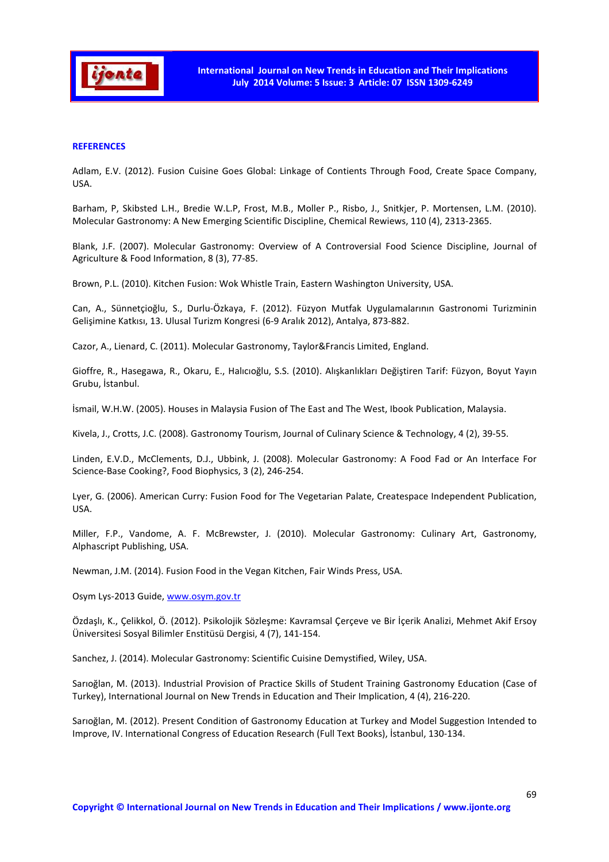

# **REFERENCES**

Adlam, E.V. (2012). Fusion Cuisine Goes Global: Linkage of Contients Through Food, Create Space Company, USA.

Barham, P, Skibsted L.H., Bredie W.L.P, Frost, M.B., Moller P., Risbo, J., Snitkjer, P. Mortensen, L.M. (2010). Molecular Gastronomy: A New Emerging Scientific Discipline, Chemical Rewiews, 110 (4), 2313-2365.

Blank, J.F. (2007). Molecular Gastronomy: Overview of A Controversial Food Science Discipline, Journal of Agriculture & Food Information, 8 (3), 77-85.

Brown, P.L. (2010). Kitchen Fusion: Wok Whistle Train, Eastern Washington University, USA.

Can, A., Sünnetçioğlu, S., Durlu-Özkaya, F. (2012). Füzyon Mutfak Uygulamalarının Gastronomi Turizminin Gelişimine Katkısı, 13. Ulusal Turizm Kongresi (6-9 Aralık 2012), Antalya, 873-882.

Cazor, A., Lienard, C. (2011). Molecular Gastronomy, Taylor&Francis Limited, England.

Gioffre, R., Hasegawa, R., Okaru, E., Halıcıoğlu, S.S. (2010). Alışkanlıkları Değiştiren Tarif: Füzyon, Boyut Yayın Grubu, İstanbul.

İsmail, W.H.W. (2005). Houses in Malaysia Fusion of The East and The West, Ibook Publication, Malaysia.

Kivela, J., Crotts, J.C. (2008). Gastronomy Tourism, Journal of Culinary Science & Technology, 4 (2), 39-55.

Linden, E.V.D., McClements, D.J., Ubbink, J. (2008). Molecular Gastronomy: A Food Fad or An Interface For Science-Base Cooking?, Food Biophysics, 3 (2), 246-254.

Lyer, G. (2006). American Curry: Fusion Food for The Vegetarian Palate, Createspace Independent Publication, USA.

Miller, F.P., Vandome, A. F. McBrewster, J. (2010). Molecular Gastronomy: Culinary Art, Gastronomy, Alphascript Publishing, USA.

Newman, J.M. (2014). Fusion Food in the Vegan Kitchen, Fair Winds Press, USA.

Osym Lys-2013 Guide, www.osym.gov.tr

Özdaşlı, K., Çelikkol, Ö. (2012). Psikolojik Sözleşme: Kavramsal Çerçeve ve Bir İçerik Analizi, Mehmet Akif Ersoy Üniversitesi Sosyal Bilimler Enstitüsü Dergisi, 4 (7), 141-154.

Sanchez, J. (2014). Molecular Gastronomy: Scientific Cuisine Demystified, Wiley, USA.

Sarıoğlan, M. (2013). Industrial Provision of Practice Skills of Student Training Gastronomy Education (Case of Turkey), International Journal on New Trends in Education and Their Implication, 4 (4), 216-220.

Sarıoğlan, M. (2012). Present Condition of Gastronomy Education at Turkey and Model Suggestion Intended to Improve, IV. International Congress of Education Research (Full Text Books), İstanbul, 130-134.